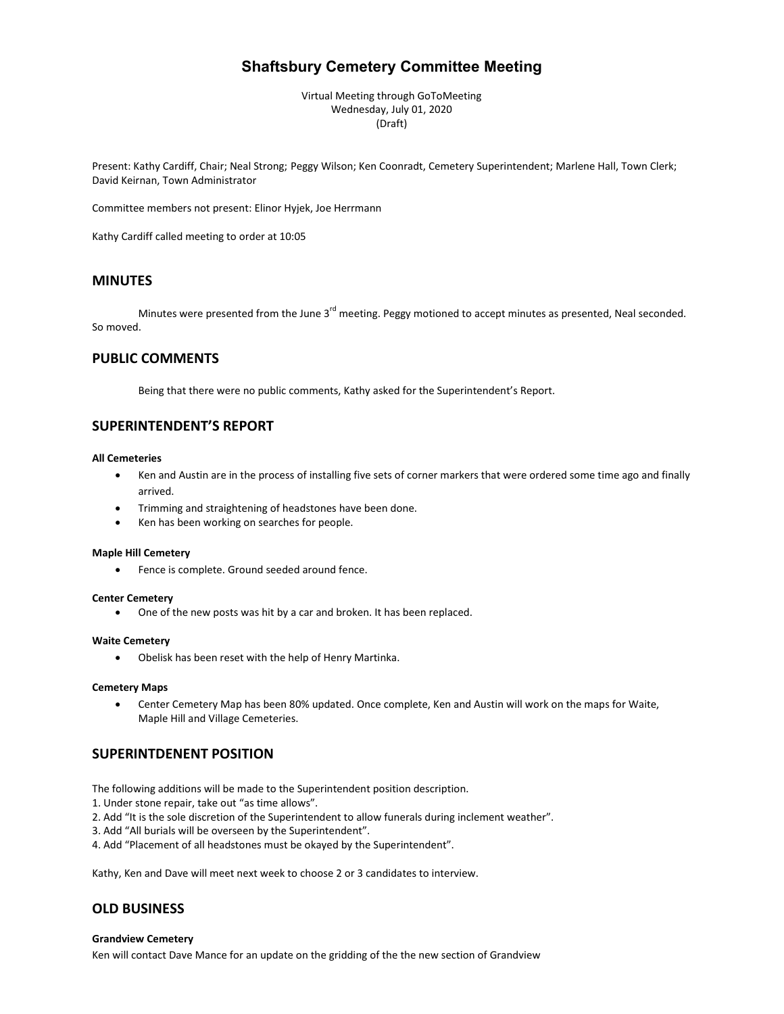# **Shaftsbury Cemetery Committee Meeting**

Virtual Meeting through GoToMeeting Wednesday, July 01, 2020 (Draft)

Present: Kathy Cardiff, Chair; Neal Strong; Peggy Wilson; Ken Coonradt, Cemetery Superintendent; Marlene Hall, Town Clerk; David Keirnan, Town Administrator

Committee members not present: Elinor Hyjek, Joe Herrmann

Kathy Cardiff called meeting to order at 10:05

# **MINUTES**

Minutes were presented from the June  $3<sup>rd</sup>$  meeting. Peggy motioned to accept minutes as presented, Neal seconded. So moved.

# **PUBLIC COMMENTS**

Being that there were no public comments, Kathy asked for the Superintendent's Report.

# **SUPERINTENDENT'S REPORT**

#### **All Cemeteries**

- Ken and Austin are in the process of installing five sets of corner markers that were ordered some time ago and finally arrived.
- Trimming and straightening of headstones have been done.
- Ken has been working on searches for people.

#### **Maple Hill Cemetery**

• Fence is complete. Ground seeded around fence.

#### **Center Cemetery**

• One of the new posts was hit by a car and broken. It has been replaced.

#### **Waite Cemetery**

• Obelisk has been reset with the help of Henry Martinka.

#### **Cemetery Maps**

• Center Cemetery Map has been 80% updated. Once complete, Ken and Austin will work on the maps for Waite, Maple Hill and Village Cemeteries.

# **SUPERINTDENENT POSITION**

The following additions will be made to the Superintendent position description.

1. Under stone repair, take out "as time allows".

- 2. Add "It is the sole discretion of the Superintendent to allow funerals during inclement weather".
- 3. Add "All burials will be overseen by the Superintendent".
- 4. Add "Placement of all headstones must be okayed by the Superintendent".

Kathy, Ken and Dave will meet next week to choose 2 or 3 candidates to interview.

# **OLD BUSINESS**

### **Grandview Cemetery**

Ken will contact Dave Mance for an update on the gridding of the the new section of Grandview